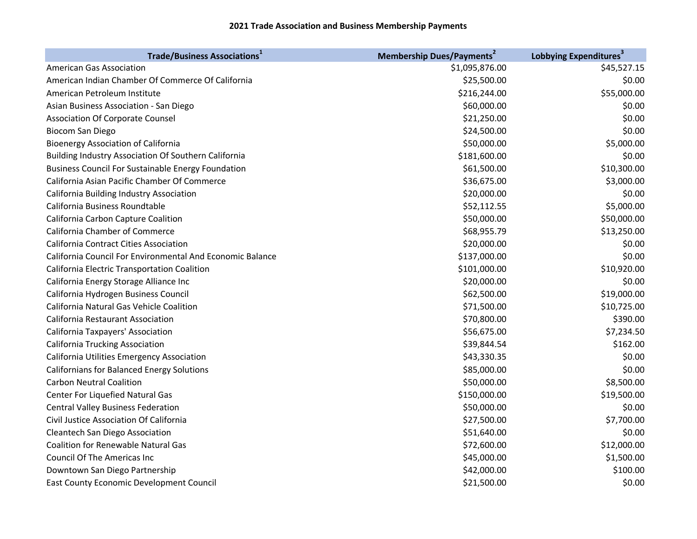| <b>Trade/Business Associations</b> <sup>1</sup>           | <b>Membership Dues/Payments<sup>2</sup></b> | Lobbying Expenditures <sup>3</sup> |
|-----------------------------------------------------------|---------------------------------------------|------------------------------------|
| <b>American Gas Association</b>                           | \$1,095,876.00                              | \$45,527.15                        |
| American Indian Chamber Of Commerce Of California         | \$25,500.00                                 | \$0.00                             |
| American Petroleum Institute                              | \$216,244.00                                | \$55,000.00                        |
| Asian Business Association - San Diego                    | \$60,000.00                                 | \$0.00                             |
| <b>Association Of Corporate Counsel</b>                   | \$21,250.00                                 | \$0.00                             |
| <b>Biocom San Diego</b>                                   | \$24,500.00                                 | \$0.00                             |
| <b>Bioenergy Association of California</b>                | \$50,000.00                                 | \$5,000.00                         |
| Building Industry Association Of Southern California      | \$181,600.00                                | \$0.00                             |
| <b>Business Council For Sustainable Energy Foundation</b> | \$61,500.00                                 | \$10,300.00                        |
| California Asian Pacific Chamber Of Commerce              | \$36,675.00                                 | \$3,000.00                         |
| California Building Industry Association                  | \$20,000.00                                 | \$0.00                             |
| California Business Roundtable                            | \$52,112.55                                 | \$5,000.00                         |
| California Carbon Capture Coalition                       | \$50,000.00                                 | \$50,000.00                        |
| California Chamber of Commerce                            | \$68,955.79                                 | \$13,250.00                        |
| <b>California Contract Cities Association</b>             | \$20,000.00                                 | \$0.00                             |
| California Council For Environmental And Economic Balance | \$137,000.00                                | \$0.00                             |
| California Electric Transportation Coalition              | \$101,000.00                                | \$10,920.00                        |
| California Energy Storage Alliance Inc                    | \$20,000.00                                 | \$0.00                             |
| California Hydrogen Business Council                      | \$62,500.00                                 | \$19,000.00                        |
| California Natural Gas Vehicle Coalition                  | \$71,500.00                                 | \$10,725.00                        |
| California Restaurant Association                         | \$70,800.00                                 | \$390.00                           |
| California Taxpayers' Association                         | \$56,675.00                                 | \$7,234.50                         |
| <b>California Trucking Association</b>                    | \$39,844.54                                 | \$162.00                           |
| California Utilities Emergency Association                | \$43,330.35                                 | \$0.00                             |
| <b>Californians for Balanced Energy Solutions</b>         | \$85,000.00                                 | \$0.00                             |
| <b>Carbon Neutral Coalition</b>                           | \$50,000.00                                 | \$8,500.00                         |
| Center For Liquefied Natural Gas                          | \$150,000.00                                | \$19,500.00                        |
| <b>Central Valley Business Federation</b>                 | \$50,000.00                                 | \$0.00                             |
| Civil Justice Association Of California                   | \$27,500.00                                 | \$7,700.00                         |
| Cleantech San Diego Association                           | \$51,640.00                                 | \$0.00                             |
| <b>Coalition for Renewable Natural Gas</b>                | \$72,600.00                                 | \$12,000.00                        |
| <b>Council Of The Americas Inc</b>                        | \$45,000.00                                 | \$1,500.00                         |
| Downtown San Diego Partnership                            | \$42,000.00                                 | \$100.00                           |
| <b>East County Economic Development Council</b>           | \$21,500.00                                 | \$0.00                             |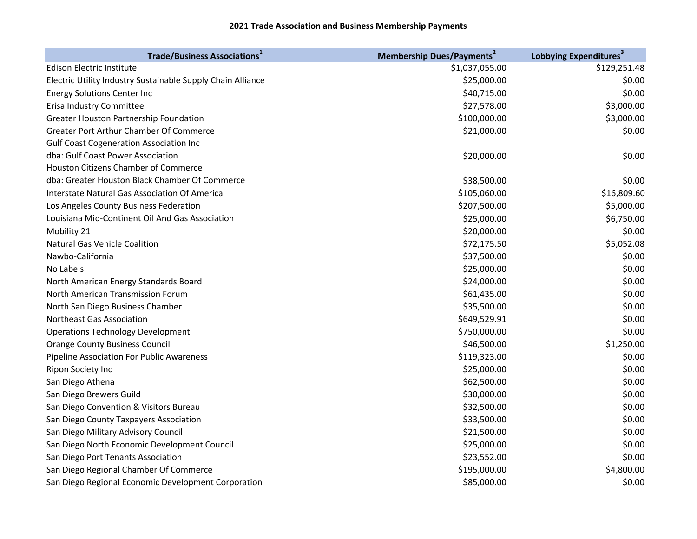| <b>Trade/Business Associations</b> <sup>1</sup>             | <b>Membership Dues/Payments<sup>2</sup></b> | Lobbying Expenditures <sup>3</sup> |
|-------------------------------------------------------------|---------------------------------------------|------------------------------------|
| <b>Edison Electric Institute</b>                            | \$1,037,055.00                              | \$129,251.48                       |
| Electric Utility Industry Sustainable Supply Chain Alliance | \$25,000.00                                 | \$0.00                             |
| <b>Energy Solutions Center Inc</b>                          | \$40,715.00                                 | \$0.00                             |
| Erisa Industry Committee                                    | \$27,578.00                                 | \$3,000.00                         |
| Greater Houston Partnership Foundation                      | \$100,000.00                                | \$3,000.00                         |
| Greater Port Arthur Chamber Of Commerce                     | \$21,000.00                                 | \$0.00                             |
| <b>Gulf Coast Cogeneration Association Inc</b>              |                                             |                                    |
| dba: Gulf Coast Power Association                           | \$20,000.00                                 | \$0.00                             |
| <b>Houston Citizens Chamber of Commerce</b>                 |                                             |                                    |
| dba: Greater Houston Black Chamber Of Commerce              | \$38,500.00                                 | \$0.00                             |
| Interstate Natural Gas Association Of America               | \$105,060.00                                | \$16,809.60                        |
| Los Angeles County Business Federation                      | \$207,500.00                                | \$5,000.00                         |
| Louisiana Mid-Continent Oil And Gas Association             | \$25,000.00                                 | \$6,750.00                         |
| Mobility 21                                                 | \$20,000.00                                 | \$0.00                             |
| <b>Natural Gas Vehicle Coalition</b>                        | \$72,175.50                                 | \$5,052.08                         |
| Nawbo-California                                            | \$37,500.00                                 | \$0.00                             |
| No Labels                                                   | \$25,000.00                                 | \$0.00                             |
| North American Energy Standards Board                       | \$24,000.00                                 | \$0.00                             |
| North American Transmission Forum                           | \$61,435.00                                 | \$0.00                             |
| North San Diego Business Chamber                            | \$35,500.00                                 | \$0.00                             |
| Northeast Gas Association                                   | \$649,529.91                                | \$0.00                             |
| <b>Operations Technology Development</b>                    | \$750,000.00                                | \$0.00                             |
| <b>Orange County Business Council</b>                       | \$46,500.00                                 | \$1,250.00                         |
| Pipeline Association For Public Awareness                   | \$119,323.00                                | \$0.00                             |
| Ripon Society Inc                                           | \$25,000.00                                 | \$0.00                             |
| San Diego Athena                                            | \$62,500.00                                 | \$0.00                             |
| San Diego Brewers Guild                                     | \$30,000.00                                 | \$0.00                             |
| San Diego Convention & Visitors Bureau                      | \$32,500.00                                 | \$0.00                             |
| San Diego County Taxpayers Association                      | \$33,500.00                                 | \$0.00                             |
| San Diego Military Advisory Council                         | \$21,500.00                                 | \$0.00                             |
| San Diego North Economic Development Council                | \$25,000.00                                 | \$0.00                             |
| San Diego Port Tenants Association                          | \$23,552.00                                 | \$0.00                             |
| San Diego Regional Chamber Of Commerce                      | \$195,000.00                                | \$4,800.00                         |
| San Diego Regional Economic Development Corporation         | \$85,000.00                                 | \$0.00                             |